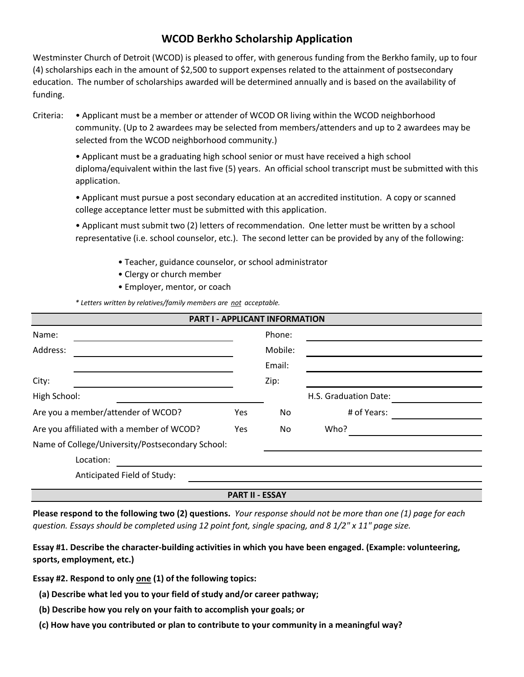# **WCOD Berkho Scholarship Application**

Westminster Church of Detroit (WCOD) is pleased to offer, with generous funding from the Berkho family, up to four (4) scholarships each in the amount of \$2,500 to support expenses related to the attainment of postsecondary education. The number of scholarships awarded will be determined annually and is based on the availability of funding.

Criteria: • Applicant must be a member or attender of WCOD OR living within the WCOD neighborhood community. (Up to 2 awardees may be selected from members/attenders and up to 2 awardees may be selected from the WCOD neighborhood community.)

• Applicant must be a graduating high school senior or must have received a high school diploma/equivalent within the last five (5) years. An official school transcript must be submitted with this application.

• Applicant must pursue a post secondary education at an accredited institution. A copy or scanned college acceptance letter must be submitted with this application.

• Applicant must submit two (2) letters of recommendation. One letter must be written by a school representative (i.e. school counselor, etc.). The second letter can be provided by any of the following:

- Teacher, guidance counselor, or school administrator
- Clergy or church member
- Employer, mentor, or coach

*\* Letters written by relatives/family members are not acceptable.*

| <b>PART I - APPLICANT INFORMATION</b>            |     |         |                       |  |  |  |
|--------------------------------------------------|-----|---------|-----------------------|--|--|--|
| Name:                                            |     | Phone:  |                       |  |  |  |
| Address:                                         |     | Mobile: |                       |  |  |  |
|                                                  |     | Email:  |                       |  |  |  |
| City:                                            |     | Zip:    |                       |  |  |  |
| High School:                                     |     |         | H.S. Graduation Date: |  |  |  |
| Are you a member/attender of WCOD?               | Yes | No      | # of Years:           |  |  |  |
| Are you affiliated with a member of WCOD?        | Yes | No.     | Who?                  |  |  |  |
| Name of College/University/Postsecondary School: |     |         |                       |  |  |  |
| Location:                                        |     |         |                       |  |  |  |
| Anticipated Field of Study:                      |     |         |                       |  |  |  |
| <b>PART II - ESSAY</b>                           |     |         |                       |  |  |  |

**Please respond to the following two (2) questions.** *Your response should not be more than one (1) page for each question. Essays should be completed using 12 point font, single spacing, and 8 1/2" x 11" page size.*

**Essay #1. Describe the character-building activities in which you have been engaged. (Example: volunteering, sports, employment, etc.)**

**Essay #2. Respond to only one (1) of the following topics:**

**(a) Describe what led you to your field of study and/or career pathway;**

- **(b) Describe how you rely on your faith to accomplish your goals; or**
- **(c) How have you contributed or plan to contribute to your community in a meaningful way?**